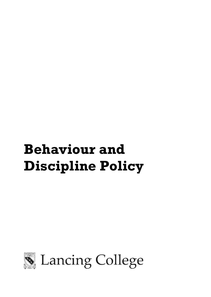# **Behaviour and Discipline Policy**

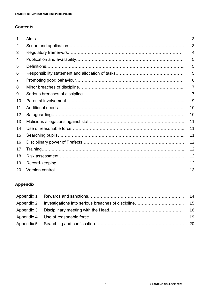## **Contents**

| 1  | 3  |
|----|----|
| 2  | 3  |
| 3  | 4  |
| 4  | 5  |
| 5  | 5  |
| 6  | 5  |
| 7  | 6  |
| 8  | 7  |
| 9  | 7  |
| 10 | 9  |
| 11 | 10 |
| 12 | 10 |
| 13 | 11 |
| 14 | 11 |
| 15 | 11 |
| 16 | 12 |
| 17 | 12 |
| 18 | 12 |
| 19 | 12 |
| 20 | 13 |

## **Appendix**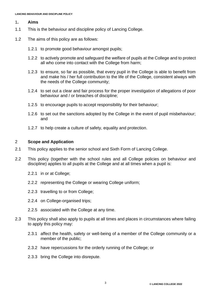#### 1**. Aims**

- 1.1 This is the behaviour and discipline policy of Lancing College.
- 1.2 The aims of this policy are as follows:
	- 1.2.1 to promote good behaviour amongst pupils;
	- 1.2.2 to actively promote and safeguard the welfare of pupils at the College and to protect all who come into contact with the College from harm;
	- 1.2.3 to ensure, so far as possible, that every pupil in the College is able to benefit from and make his / her full contribution to the life of the College, consistent always with the needs of the College community;
	- 1.2.4 to set out a clear and fair process for the proper investigation of allegations of poor behaviour and / or breaches of discipline;
	- 1.2.5 to encourage pupils to accept responsibility for their behaviour;
	- 1.2.6 to set out the sanctions adopted by the College in the event of pupil misbehaviour; and
	- 1.2.7 to help create a culture of safety, equality and protection.

#### 2 **Scope and Application**

- 2.1 This policy applies to the senior school and Sixth Form of Lancing College.
- 2.2 This policy (together with the school rules and all College policies on behaviour and discipline) applies to all pupils at the College and at all times when a pupil is:
	- 2.2.1 in or at College;
	- 2.2.2 representing the College or wearing College uniform;
	- 2.2.3 travelling to or from College;
	- 2.2.4 on College-organised trips;
	- 2.2.5 associated with the College at any time.
- 2.3 This policy shall also apply to pupils at all times and places in circumstances where failing to apply this policy may:
	- 2.3.1 affect the health, safety or well-being of a member of the College community or a member of the public;
	- 2.3.2 have repercussions for the orderly running of the College; or
	- 2.3.3 bring the College into disrepute.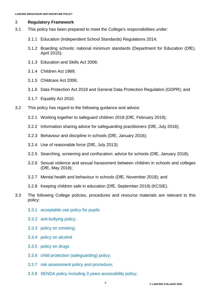## 3 **Regulatory Framework**

- 3.1 This policy has been prepared to meet the College's responsibilities under:
	- 3.1.1 Education (Independent School Standards) Regulations 2014;
	- 3.1.2 Boarding schools: national minimum standards (Department for Education (DfE), April 2015);
	- 3.1.3 Education and Skills Act 2008;
	- 3.1.4 Children Act 1989;
	- 3.1.5 Childcare Act 2006;
	- 3.1.6 Data Protection Act 2018 and General Data Protection Regulation (GDPR); and
	- 3.1.7 Equality Act 2010.
- 3.2 This policy has regard to the following guidance and advice:
	- 3.2.1 Working together to safeguard children 2018 (DfE, February 2019);
	- 3.2.2 Information sharing advice for safeguarding practitioners (DfE, July 2018);
	- 3.2.3 Behaviour and discipline in schools (DfE, January 2016);
	- 3.2.4 Use of reasonable force (DfE, July 2013);
	- 3.2.5 Searching, screening and confiscation: advice for schools (DfE, January 2018);
	- 3.2.6 Sexual violence and sexual harassment between children in schools and colleges (DfE, May 2018);
	- 3.2.7 Mental health and behaviour in schools (DfE, November 2018); and
	- 3.2.8 Keeping children safe in education (DfE, September 2019) (KCSIE).
- 3.3 The following College policies, procedures and resource materials are relevant to this policy:
	- 3.3.1 [acceptable use policy for pupils](https://lancing.fireflycloud.net/acceptable-use-policies)
	- 3.3.2 [anti-bullying policy;](https://lancing.fireflycloud.net/policies/a---z-1/anti-bullying-policy)
	- 3.3.3 [policy on smoking;](https://lancing.fireflycloud.net/policies/a---z-1/smoking-policy)
	- 3.3.4 [policy on alcohol](https://lancing.fireflycloud.net/policies/a---z-1/alcohol-policy-pupils)
	- 3.3.5 [policy on drugs](https://lancing.fireflycloud.net/policies/a---z-1/illegal-substances-drugs)
	- 3.3.6 [child protection \(safeguarding\) policy;](https://lancing.fireflycloud.net/policies/a---z-1/child-protection-safeguarding)
	- 3.3.7 [risk assessment policy and procedure;](https://lancing.fireflycloud.net/health-and-safety/risk-assessement)
	- 3.3.8 [SENDA policy including 3 years accessibility policy;](https://lancing.fireflycloud.net/policies/a---z-1/senda-policy-including-policy-for-special-educational-needs-disability-access-policy-and-accessib)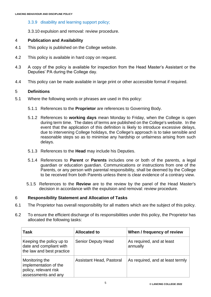## 3.3.9 [disability and learning support policy;](https://lancing.fireflycloud.net/policies/a---z-1/senda-policy-including-policy-for-special-educational-needs-disability-access-policy-and-accessib)

3.3.10 expulsion and removal: review procedure.

## 4 **Publication and Availability**

- 4.1 This policy is published on the College website.
- 4.2 This policy is available in hard copy on request.
- 4.3 A copy of the policy is available for inspection from the Head Master's Assistant or the Deputies' PA during the College day.
- 4.4 This policy can be made available in large print or other accessible format if required.

## 5 **Definitions**

- 5.1 Where the following words or phrases are used in this policy:
	- 5.1.1 References to the **Proprietor** are references to Governing Body.
	- 5.1.2 References to **working days** mean Monday to Friday, when the College is open during term time. The dates of terms are published on the College's website. In the event that the application of this definition is likely to introduce excessive delays, due to intervening College holidays, the College's approach is to take sensible and reasonable steps so as to minimise any hardship or unfairness arising from such delays.
	- 5.1.3 References to the **Head** may include his Deputies.
	- 5.1.4 References to **Parent** or **Parents** includes one or both of the parents, a legal guardian or education guardian. Communications or instructions from one of the Parents, or any person with parental responsibility, shall be deemed by the College to be received from both Parents unless there is clear evidence of a contrary view.
	- 5.1.5 References to the **Review** are to the review by the panel of the Head Master's decision in accordance with the expulsion and removal: review procedure.

## 6 **Responsibility Statement and Allocation of Tasks**

- 6.1 The Proprietor has overall responsibility for all matters which are the subject of this policy.
- 6.2 To ensure the efficient discharge of its responsibilities under this policy, the Proprietor has allocated the following tasks:

| <b>Task</b>                                                                             | <b>Allocated to</b>       | When / frequency of review            |
|-----------------------------------------------------------------------------------------|---------------------------|---------------------------------------|
| Keeping the policy up to<br>date and compliant with<br>the law and best practice        | <b>Senior Deputy Head</b> | As required, and at least<br>annually |
| Monitoring the<br>implementation of the<br>policy, relevant risk<br>assessments and any | Assistant Head, Pastoral  | As required, and at least termly      |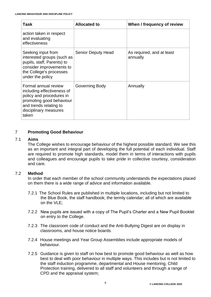| Task                                                                                                                                                                   | <b>Allocated to</b>       | When / frequency of review            |
|------------------------------------------------------------------------------------------------------------------------------------------------------------------------|---------------------------|---------------------------------------|
| action taken in respect<br>and evaluating<br>effectiveness                                                                                                             |                           |                                       |
| Seeking input from<br>interested groups (such as<br>pupils, staff, Parents) to<br>consider improvements to<br>the College's processes<br>under the policy              | <b>Senior Deputy Head</b> | As required, and at least<br>annually |
| Formal annual review<br>including effectiveness of<br>policy and procedures in<br>promoting good behaviour<br>and trends relating to<br>disciplinary measures<br>taken | Governing Body            | Annually                              |

## 7 **Promoting Good Behaviour**

## 7.1 **Aims**

The College wishes to encourage behaviour of the highest possible standard. We see this as an important and integral part of developing the full potential of each individual. Staff are required to promote high standards, model them in terms of interactions with pupils and colleagues and encourage pupils to take pride in collective courtesy, consideration and care.

## 7.2 **Method**

In order that each member of the school community understands the expectations placed on them there is a wide range of advice and information available.

- 7.2.1 The School Rules are published in multiple locations, including but not limited to the Blue Book, the staff handbook; the termly calendar; all of which are available on the VLE;
- 7.2.2 New pupils are issued with a copy of The Pupil's Charter and a New Pupil Booklet on entry to the College.
- 7.2.3 The classroom code of conduct and the Anti-Bullying Digest are on display in classrooms, and house notice boards.
- 7.2.4 House meetings and Year Group Assemblies include appropriate models of behaviour.
- 7.2.5 Guidance is given to staff on how best to promote good behaviour as well as how best to deal with poor behaviour in multiple ways. This includes but is not limited to the staff induction programme, departmental and House mentoring, Child Protection training, delivered to all staff and volunteers and through a range of CPD and the appraisal system;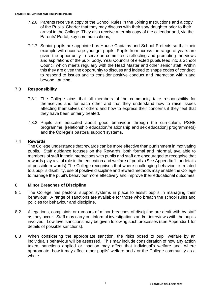- 7.2.6 Parents receive a copy of the School Rules in the Joining Instructions and a copy of the Pupils' Charter that they may discuss with their son/ daughter prior to their arrival in the College. They also receive a termly copy of the calendar and, via the Parents' Portal, key communications;
- 7.2.7 Senior pupils are appointed as House Captains and School Prefects so that their example will encourage younger pupils. Pupils from across the range of years are given the opportunity to serve on committees reflecting and promoting the views and aspirations of the pupil body. Year Councils of elected pupils feed into a School Council which meets regularly with the Head Master and other senior staff. Within this they are given the opportunity to discuss and indeed to shape codes of conduct, to respond to issues and to consider positive conduct and interaction within and beyond Lancing.

## 7.3 **Responsibility**

- 7.3.1 The College aims that all members of the community take responsibility for themselves and for each other and that they understand how to raise issues affecting themselves or others and how to express their concerns if they feel that they have been unfairly treated.
- 7.3.2 Pupils are educated about good behaviour through the curriculum, PSHE programme, [relationship education/relationship and sex education] programme(s) and the College's pastoral support systems.

## 7.4 **Rewards**

The College understands that rewards can be more effective than punishment in motivating pupils. Staff guidance focuses on the Rewards, both formal and informal, available to members of staff in their interactions with pupils and staff are encouraged to recognise that rewards play a vital role in the education and welfare of pupils. (See Appendix 1 for details of possible rewards) The College recognises that where challenging behaviour is related to a pupil's disability, use of positive discipline and reward methods may enable the College to manage the pupil's behaviour more effectively and improve their educational outcomes.

#### 8 **Minor Breaches of Discipline**

- 8.1 The College has pastoral support systems in place to assist pupils in managing their behaviour. A range of sanctions are available for those who breach the school rules and policies for behaviour and discipline.
- 8.2 Allegations, complaints or rumours of minor breaches of discipline are dealt with by staff as they occur. Staff may carry out informal investigations and/or interviews with the pupils involved. Low level sanctions may be given following such processes (see Appendix 1 for details of possible sanctions).
- 8.3 When considering the appropriate sanction, the risks posed to pupil welfare by an individual's behaviour will be assessed. This may include consideration of how any action taken, sanctions applied or inaction may affect that individual's welfare and, where appropriate, how it may affect other pupils' welfare and / or the College community as a whole.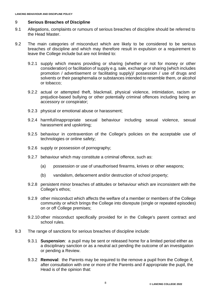## 9 **Serious Breaches of Discipline**

- 9.1 Allegations, complaints or rumours of serious breaches of discipline should be referred to the Head Master.
- 9.2 The main categories of misconduct which are likely to be considered to be serious breaches of discipline and which may therefore result in expulsion or a requirement to leave the College include but are not limited to:
	- 9.2.1 supply which means providing or sharing (whether or not for money or other consideration) or facilitation of supply e.g. sale, exchange or sharing (which includes promotion / advertisement or facilitating supply)/ possession / use of drugs and solvents or their paraphernalia or substances intended to resemble them, or alcohol or tobacco;
	- 9.2.2 actual or attempted theft, blackmail, physical violence, intimidation, racism or prejudice-based bullying or other potentially criminal offences including being an accessory or conspirator;
	- 9.2.3 physical or emotional abuse or harassment;
	- 9.2.4 harmful/inappropriate sexual behaviour including sexual violence, sexual harassment and upskirting;
	- 9.2.5 behaviour in contravention of the College's policies on the acceptable use of technologies or online safety;
	- 9.2.6 supply or possession of pornography;
	- 9.2.7 behaviour which may constitute a criminal offence, such as:
		- (a) possession or use of unauthorised firearms, knives or other weapons;
		- (b) vandalism, defacement and/or destruction of school property;
	- 9.2.8 persistent minor breaches of attitudes or behaviour which are inconsistent with the College's ethos;
	- 9.2.9 other misconduct which affects the welfare of a member or members of the College community or which brings the College into disrepute (single or repeated episodes) on or off College premises;
	- 9.2.10 other misconduct specifically provided for in the College's parent contract and school rules.
- 9.3 The range of sanctions for serious breaches of discipline include:
	- 9.3.1 **Suspension**: a pupil may be sent or released home for a limited period either as a disciplinary sanction or as a neutral act pending the outcome of an investigation or pending a Review.
	- 9.3.2 **Removal**: the Parents may be required to the remove a pupil from the College if, after consultation with one or more of the Parents and if appropriate the pupil, the Head is of the opinion that: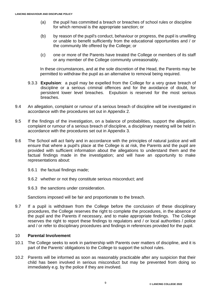- (a) the pupil has committed a breach or breaches of school rules or discipline for which removal is the appropriate sanction; or
- (b) by reason of the pupil's conduct, behaviour or progress, the pupil is unwilling or unable to benefit sufficiently from the educational opportunities and / or the community life offered by the College; or
- (c) one or more of the Parents have treated the College or members of its staff or any member of the College community unreasonably.

In these circumstances, and at the sole discretion of the Head, the Parents may be permitted to withdraw the pupil as an alternative to removal being required.

- 9.3.3 **Expulsion**: a pupil may be expelled from the College for a very grave breach of discipline or a serious criminal offences and for the avoidance of doubt, for persistent lower level breaches. Expulsion is reserved for the most serious breaches.
- 9.4 An allegation, complaint or rumour of a serious breach of discipline will be investigated in accordance with the procedures set out in Appendix 2.
- 9.5 If the findings of the investigation, on a balance of probabilities, support the allegation, complaint or rumour of a serious breach of discipline, a disciplinary meeting will be held in accordance with the procedures set out in Appendix 3.
- 9.6 The School will act fairly and in accordance with the principles of natural justice and will ensure that where a pupil's place at the College is at risk, the Parents and the pupil are provided with sufficient information about the allegations to understand them and the factual findings made in the investigation; and will have an opportunity to make representations about:
	- 9.6.1 the factual findings made;
	- 9.6.2 whether or not they constitute serious misconduct; and
	- 9.6.3 the sanctions under consideration.

Sanctions imposed will be fair and proportionate to the breach.

9.7 If a pupil is withdrawn from the College before the conclusion of these disciplinary procedures, the College reserves the right to complete the procedures, in the absence of the pupil and the Parents if necessary, and to make appropriate findings. The College reserves the right to report these findings to regulators and / or local authorities / police and / or refer to disciplinary procedures and findings in references provided for the pupil.

#### 10 **Parental Involvement**

- 10.1 The College seeks to work in partnership with Parents over matters of discipline, and it is part of the Parents' obligations to the College to support the school rules.
- 10.2 Parents will be informed as soon as reasonably practicable after any suspicion that their child has been involved in serious misconduct but may be prevented from doing so immediately e.g. by the police if they are involved.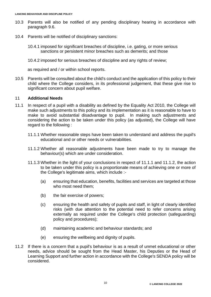- 10.3 Parents will also be notified of any pending disciplinary hearing in accordance with paragraph 9.6.
- 10.4 Parents will be notified of disciplinary sanctions:
	- 10.4.1 imposed for significant breaches of discipline, i.e. gating, or more serious sanctions or persistent minor breaches such as demerits; and those
	- 10.4.2 imposed for serious breaches of discipline and any rights of review;

as required and / or within school reports.

10.5 Parents will be consulted about the child's conduct and the application of this policy to their child where the College considers, in its professional judgement, that these give rise to significant concern about pupil welfare.

## 11 **Additional Needs**

- 11.1 In respect of a pupil with a disability as defined by the Equality Act 2010, the College will make such adjustments to this policy and its implementation as it is reasonable to have to make to avoid substantial disadvantage to pupil. In making such adjustments and considering the action to be taken under this policy (as adjusted), the College will have regard to the following :
	- 11.1.1 Whether reasonable steps have been taken to understand and address the pupil's educational and or other needs or vulnerabilities.
	- 11.1.2 Whether all reasonable adjustments have been made to try to manage the behaviour(s) which are under consideration.
	- 11.1.3 Whether in the light of your conclusions in respect of 11.1.1 and 11.1.2, the action to be taken under this policy is a proportionate means of achieving one or more of the College's legitimate aims, which include :-
		- (a) ensuring that education, benefits, facilities and services are targeted at those who most need them;
		- (b) the fair exercise of powers;
		- (c) ensuring the health and safety of pupils and staff, in light of clearly identified risks (with due attention to the potential need to refer concerns arising externally as required under the College's child protection (safeguarding) policy and procedures);
		- (d) maintaining academic and behaviour standards; and
		- (e) ensuring the wellbeing and dignity of pupils.
- 11.2 If there is a concern that a pupil's behaviour is as a result of unmet educational or other needs, advice should be sought from the Head Master, his Deputies or the Head of Learning Support and further action in accordance with the College's SENDA policy will be considered.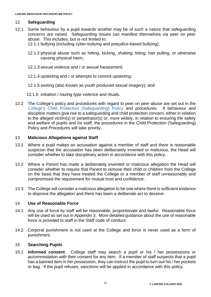## 12 **Safeguarding**

- 12.1 Some behaviour by a pupil towards another may be of such a nature that safeguarding concerns are raised. Safeguarding issues can manifest themselves via peer on peer abuse. This includes, but is not limited to:
	- 12.1.1 bullying (including cyber-bullying and prejudice-based bullying);
	- 12.1.2 physical abuse such as hitting, kicking, shaking, biting, hair pulling, or otherwise causing physical harm;
	- 12.1.3 sexual violence and / or sexual harassment;
	- 12.1.4 upskirting and / or attempts to commit upskirting;
	- 12.1.5 sexting (also known as youth produced sexual imagery); and
	- 12.1.6 initiation / hazing type violence and rituals.
- 12.2 The College's policy and procedures with regard to peer on peer abuse are set out in the [College's Child Protection \(Safeguarding\) Policy](https://lancing.fireflycloud.net/policies/a---z-1/child-protection-safeguarding) and procedures. If behaviour and discipline matters give rise to a safeguarding and child protection concern, either in relation to the alleged victim(s) or perpetrator(s) or, more widely, in relation to ensuring the safety and welfare of pupils and /or staff, the procedures in the Child Protection (Safeguarding) Policy and Procedures will take priority.

#### 13 **Malicious Allegations against Staff**

- 13.1 Where a pupil makes an accusation against a member of staff and there is reasonable suspicion that the accusation has been deliberately invented or malicious, the Head will consider whether to take disciplinary action in accordance with this policy.
- 13.2 Where a Parent has made a deliberately invented or malicious allegation the Head will consider whether to require that Parent to remove their child or children from the College on the basis that they have treated the College or a member of staff unreasonably and compromised the requirement for mutual trust and confidence.
- 13.3 The College will consider a malicious allegation to be one where there is sufficient evidence to disprove the allegation and there has been a deliberate act to deceive.

#### 14 **Use of Reasonable Force**

- 14.1 Any use of force by staff will be reasonable, proportionate and lawful. Reasonable force will be used as set out in Appendix 3. More detailed guidance about the use of reasonable force is provided to staff in the Staff code of conduct.
- 14.2 Corporal punishment is not used at the College and force is never used as a form of punishment.

#### 15 **Searching Pupils**

15.1 **Informed consent**: College staff may search a pupil or his / her possessions or accommodation with their consent for any item. If a member of staff suspects that a pupil has a banned item in her possession, they can instruct the pupil to turn out his / her pockets or bag. If the pupil refuses, sanctions will be applied in accordance with this policy.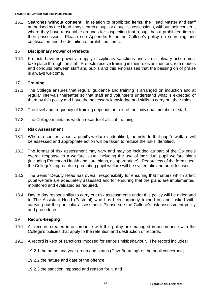15.2 **Searches without consent**: in relation to prohibited items, the Head Master and staff authorised by the Head, may search a pupil or a pupil's possessions, without their consent, where they have reasonable grounds for suspecting that a pupil has a prohibited item in their possession. Please see Appendix 5 for the College's policy on searching and confiscation and the definition of prohibited items.

## 16 **Disciplinary Power of Prefects**

16.1 Prefects have no powers to apply disciplinary sanctions and all disciplinary action must take place through the staff. Prefects receive training in their roles as mentors, role models and conduits between staff and pupils and this emphasises that the passing on of praise is always welcome.

## 17 **Training**

- 17.1 The College ensures that regular guidance and training is arranged on induction and at regular intervals thereafter so that staff and volunteers understand what is expected of them by this policy and have the necessary knowledge and skills to carry out their roles.
- 17.2 The level and frequency of training depends on role of the individual member of staff.
- 17.3 The College maintains written records of all staff training.

#### 18 **Risk Assessment**

- 18.1 Where a concern about a pupil's welfare is identified, the risks to that pupil's welfare will be assessed and appropriate action will be taken to reduce the risks identified.
- 18.2 The format of risk assessment may vary and may be included as part of the College's overall response to a welfare issue, including the use of individual pupil welfare plans (including Education Health and care plans, as appropriate). Regardless of the form used, the College's approach to promoting pupil welfare will be systematic and pupil focused.
- 18.3 The Senior Deputy Head has overall responsibility for ensuring that matters which affect pupil welfare are adequately assessed and for ensuring that the plans are implemented, monitored and evaluated as required.
- 18.4 Day to day responsibility to carry out risk assessments under this policy will be delegated to The Assistant Head (Pastoral) who has been properly trained in, and tasked with, carrying out the particular assessment. Please see the College's risk assessment policy and procedures.

#### 19 **Record-keeping**

- 19.1 All records created in accordance with this policy are managed in accordance with the College's policies that apply to the retention and destruction of records.
- 19.2 A record is kept of sanctions imposed for serious misbehaviour. The record includes:

19.2.1 the name and year group and status (Day/ Boarding) of the pupil concerned;

- 19.2.2 the nature and date of the offence;
- 19.2.3 the sanction imposed and reason for it; and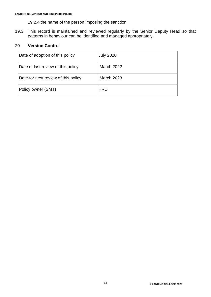- 19.2.4 the name of the person imposing the sanction
- 19.3 This record is maintained and reviewed regularly by the Senior Deputy Head so that patterns in behaviour can be identified and managed appropriately.

#### 20 **Version Control**

| Date of adoption of this policy     | <b>July 2020</b>  |
|-------------------------------------|-------------------|
| Date of last review of this policy  | March 2022        |
| Date for next review of this policy | <b>March 2023</b> |
| Policy owner (SMT)                  | <b>HRD</b>        |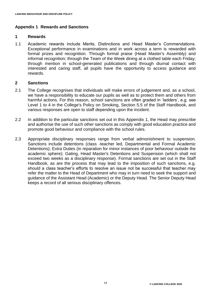## **Appendix 1 Rewards and Sanctions**

#### **1 Rewards**

1.1 Academic rewards include Merits, Distinctions and Head Master's Commendations. Exceptional performance in examinations and in work across a term is rewarded with formal prizes and recognition. Through formal praise (Head Master's Assembly) and informal recognition; through the Team of the Week dining at a clothed table each Friday; through mention in school-generated publications and through diurnal contact with interested and caring staff, all pupils have the opportunity to access guidance and rewards.

## **2 Sanctions**

- 2.1 The College recognises that individuals will make errors of judgement and, as a school, we have a responsibility to educate our pupils as well as to protect them and others from harmful actions. For this reason, school sanctions are often graded in 'ladders', e.g. see Level 1 to 4 in the College's Policy on Smoking, Section 5.5 of the Staff Handbook, and various responses are open to staff depending upon the incident.
- 2.2 In addition to the particular sanctions set out in this Appendix 1, the Head may prescribe and authorise the use of such other sanctions as comply with good education practice and promote good behaviour and compliance with the school rules.
- 2.3 Appropriate disciplinary responses range from verbal admonishment to suspension. Sanctions include detentions (class -teacher led, Departmental and Formal Academic Detentions); Extra Duties (in reparation for minor instances of poor behaviour outside the academic sphere); Gating, Head Master's Detentions and Suspension (which shall not exceed two weeks as a disciplinary response). Formal sanctions are set out in the Staff Handbook, as are the process that may lead to the imposition of such sanctions, e.g. should a class teacher's efforts to resolve an issue not be successful that teacher may refer the matter to the Head of Department who may in turn need to seek the support and guidance of the Assistant Head (Academic) or the Deputy Head. The Senior Deputy Head keeps a record of all serious disciplinary offences.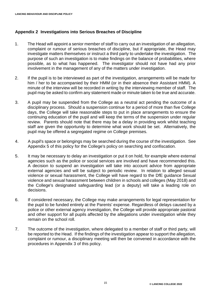## **Appendix 2 Investigations into Serious Breaches of Discipline**

- 1. The Head will appoint a senior member of staff to carry out an investigation of an allegation, complaint or rumour of serious breaches of discipline, but if appropriate, the Head may investigate matters themselves or instruct a third party to undertake the investigation. The purpose of such an investigation is to make findings on the balance of probabilities, where possible, as to what has happened. The investigator should not have had any prior involvement in the management of any of the matters under investigation.
- 2. If the pupil is to be interviewed as part of the investigation, arrangements will be made for him / her to be accompanied by their HMM (or in their absence their Assistant HMM). A minute of the interview will be recorded in writing by the interviewing member of staff. The pupil may be asked to confirm any statement made or minute taken to be true and accurate.
- 3. A pupil may be suspended from the College as a neutral act pending the outcome of a disciplinary process. Should a suspension continue for a period of more than five College days, the College will take reasonable steps to put in place arrangements to ensure the continuing education of the pupil and will keep the terms of the suspension under regular review. Parents should note that there may be a delay in providing work whilst teaching staff are given the opportunity to determine what work should be set. Alternatively, the pupil may be offered a segregated regime on College premises.
- 4. A pupil's space or belongings may be searched during the course of the investigation. See Appendix 5 of this policy for the College's policy on searching and confiscation.
- 5. It may be necessary to delay an investigation or put it on hold, for example where external agencies such as the police or social services are involved and have recommended this. A decision to suspend an investigation will take into account advice from appropriate external agencies and will be subject to periodic review. In relation to alleged sexual violence or sexual harassment, the College will have regard to the DfE guidance Sexual violence and sexual harassment between children in schools and colleges (May 2018) and the College's designated safeguarding lead (or a deputy) will take a leading role on decisions.
- 6. If considered necessary, the College may make arrangements for legal representation for the pupil to be funded entirely at the Parents' expense. Regardless of delays caused by a police or other external agency investigation, the College will provide appropriate pastoral and other support for all pupils affected by the allegations under investigation while they remain on the school roll.
- 7. The outcome of the investigation, where delegated to a member of staff or third party, will be reported to the Head. If the findings of the investigation appear to support the allegation, complaint or rumour, a disciplinary meeting will then be convened in accordance with the procedures in Appendix 3 of this policy.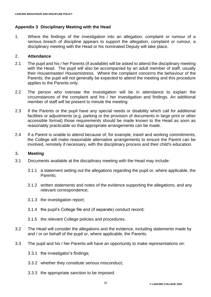## **Appendix 3 Disciplinary Meeting with the Head**

1. Where the findings of the investigation into an allegation, complaint or rumour of a serious breach of discipline appears to support the allegation, complaint or rumour, a disciplinary meeting with the Head or his nominated Deputy will take place.

#### 2. **Attendance**

- 2.1 The pupil and his / her Parents (if available) will be asked to attend the disciplinary meeting with the Head. The pupil will also be accompanied by an adult member of staff, usually their Housemaster/ Housemistress. Where the complaint concerns the behaviour of the Parents, the pupil will not generally be expected to attend the meeting and this procedure applies to the Parents only.
- 2.2 The person who oversaw the investigation will be in attendance to explain the circumstances of the complaint and his / her investigation and findings. An additional member of staff will be present to minute the meeting
- 2.3 If the Parents or the pupil have any special needs or disability which call for additional facilities or adjustments (e.g. parking or the provision of documents in large print or other accessible format) those requirements should be made known to the Head as soon as reasonably practicable so that appropriate arrangements can be made.
- 2.4 If a Parent is unable to attend because of, for example, travel and working commitments, the College will make reasonable alternative arrangements to ensure the Parent can be involved, remotely if necessary, with the disciplinary process and their child's education.

#### 3**. Meeting**

- 3.1 Documents available at the disciplinary meeting with the Head may include:
	- 3.1.1 a statement setting out the allegations regarding the pupil or, where applicable, the Parents;
	- 3.1.2 written statements and notes of the evidence supporting the allegations, and any relevant correspondence;
	- 3.1.3 the investigation report;
	- 3.1.4 the pupil's College file and (if separate) conduct record;
	- 3.1.5 the relevant College policies and procedures.
- 3.2 The Head will consider the allegations and the evidence, including statements made by and / or on behalf of the pupil or, where applicable, the Parents.
- 3.3 The pupil and his / her Parents will have an opportunity to make representations on:
	- 3.3.1 the investigator's findings;
	- 3.3.2 whether they constitute serious misconduct;
	- 3.3.3 the appropriate sanction to be imposed.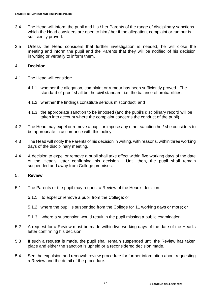- 3.4 The Head will inform the pupil and his / her Parents of the range of disciplinary sanctions which the Head considers are open to him / her if the allegation, complaint or rumour is sufficiently proved.
- 3.5 Unless the Head considers that further investigation is needed, he will close the meeting and inform the pupil and the Parents that they will be notified of his decision in writing or verbally to inform them.

#### 4**. Decision**

- 4.1 The Head will consider:
	- 4.1.1 whether the allegation, complaint or rumour has been sufficiently proved. The standard of proof shall be the civil standard, i.e. the balance of probabilities.
	- 4.1.2 whether the findings constitute serious misconduct; and
	- 4.1.3 the appropriate sanction to be imposed (and the pupil's disciplinary record will be taken into account where the complaint concerns the conduct of the pupil).
- 4.2 The Head may expel or remove a pupil or impose any other sanction he / she considers to be appropriate in accordance with this policy.
- 4.3 The Head will notify the Parents of his decision in writing, with reasons, within three working days of the disciplinary meeting.
- 4.4 A decision to expel or remove a pupil shall take effect within five working days of the date of the Head's letter confirming his decision. Until then, the pupil shall remain suspended and away from College premises.

#### 5**. Review**

- 5.1 The Parents or the pupil may request a Review of the Head's decision:
	- 5.1.1 to expel or remove a pupil from the College; or
	- 5.1.2 where the pupil is suspended from the College for 11 working days or more; or
	- 5.1.3 where a suspension would result in the pupil missing a public examination.
- 5.2 A request for a Review must be made within five working days of the date of the Head's letter confirming his decision.
- 5.3 If such a request is made, the pupil shall remain suspended until the Review has taken place and either the sanction is upheld or a reconsidered decision made.
- 5.4 See the expulsion and removal: review procedure for further information about requesting a Review and the detail of the procedure.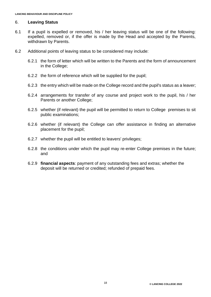#### 6. **Leaving Status**

- 6.1 If a pupil is expelled or removed, his / her leaving status will be one of the following: expelled, removed or, if the offer is made by the Head and accepted by the Parents, withdrawn by Parents.
- 6.2 Additional points of leaving status to be considered may include:
	- 6.2.1 the form of letter which will be written to the Parents and the form of announcement in the College;
	- 6.2.2 the form of reference which will be supplied for the pupil;
	- 6.2.3 the entry which will be made on the College record and the pupil's status as a leaver;
	- 6.2.4 arrangements for transfer of any course and project work to the pupil, his / her Parents or another College;
	- 6.2.5 whether (if relevant) the pupil will be permitted to return to College premises to sit public examinations;
	- 6.2.6 whether (if relevant) the College can offer assistance in finding an alternative placement for the pupil;
	- 6.2.7 whether the pupil will be entitled to leavers' privileges;
	- 6.2.8 the conditions under which the pupil may re-enter College premises in the future; and
	- 6.2.9 **financial aspects**: payment of any outstanding fees and extras; whether the deposit will be returned or credited; refunded of prepaid fees.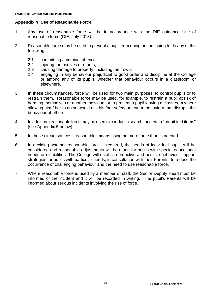## **Appendix 4 Use of Reasonable Force**

- 1. Any use of reasonable force will be in accordance with the DfE guidance Use of reasonable force (DfE, July 2013).
- 2. Reasonable force may be used to prevent a pupil from doing or continuing to do any of the following:
	- 2.1 committing a criminal offence;
	- 2.2 injuring themselves or others;
	- 2.3 causing damage to property, including their own;
	- 2.4 engaging in any behaviour prejudicial to good order and discipline at the College or among any of its pupils, whether that behaviour occurs in a classroom or elsewhere.
- 3. In these circumstances, force will be used for two main purposes: to control pupils or to restrain them. Reasonable force may be used, for example, to restrain a pupil at risk of harming themselves or another individual or to prevent a pupil leaving a classroom where allowing him / her to do so would risk his /her safety or lead to behaviour that disrupts the behaviour of others.
- 4. In addition, reasonable force may be used to conduct a search for certain "prohibited items" (see Appendix 5 below).
- 5. In these circumstances, 'reasonable' means using no more force than is needed.
- 6. In deciding whether reasonable force is required, the needs of individual pupils will be considered and reasonable adjustments will be made for pupils with special educational needs or disabilities. The College will establish proactive and positive behaviour support strategies for pupils with particular needs, in consultation with their Parents, to reduce the occurrence of challenging behaviour and the need to use reasonable force.
- 7. Where reasonable force is used by a member of staff, the Senior Deputy Head must be informed of the incident and it will be recorded in writing. The pupil's Parents will be informed about serious incidents involving the use of force.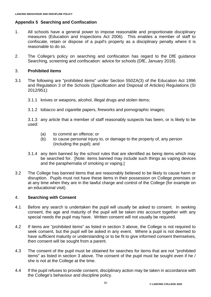## **Appendix 5 Searching and Confiscation**

- 1. All schools have a general power to impose reasonable and proportionate disciplinary measures (Education and Inspections Act 2006). This enables a member of staff to confiscate, retain or dispose of a pupil's property as a disciplinary penalty where it is reasonable to do so.
- 2. The College's policy on searching and confiscation has regard to the DfE guidance Searching, screening and confiscation: advice for schools (DfE, January 2018).

#### 3. **Prohibited items**

- 3.1 The following are "prohibited items" under Section 550ZA(3) of the Education Act 1996 and Regulation 3 of the Schools (Specification and Disposal of Articles) Regulations (SI 2012/951):
	- 3.1.1 knives or weapons, alcohol, illegal drugs and stolen items;
	- 3.1.2 tobacco and cigarette papers, fireworks and pornographic images;

3.1.3 any article that a member of staff reasonably suspects has been, or is likely to be used:

- (a) to commit an offence; or
- (b) to cause personal injury to, or damage to the property of, any person (including the pupil); and
- 3.1.4 any item banned by the school rules that are identified as being items which may be searched for. [Note: items banned may include such things as vaping devices and the paraphernalia of smoking or vaping.]
- 3.2 The College has banned items that are reasonably believed to be likely to cause harm or disruption. Pupils must not have these items in their possession on College premises or at any time when they are in the lawful charge and control of the College (for example on an educational visit).

#### 4. **Searching with Consent**

- 4.1 Before any search is undertaken the pupil will usually be asked to consent. In seeking consent, the age and maturity of the pupil will be taken into account together with any special needs the pupil may have. Written consent will not usually be required.
- 4.2 If items are "prohibited items" as listed in section 3 above, the College is not required to seek consent, but the pupil will be asked in any event. Where a pupil is not deemed to have sufficient maturity or understanding or to be fit to give informed consent themselves, then consent will be sought from a parent.
- 4.3 The consent of the pupil must be obtained for searches for items that are not "prohibited items" as listed in section 3 above. The consent of the pupil must be sought even if he / she is not at the College at the time.
- 4.4 If the pupil refuses to provide consent, disciplinary action may be taken in accordance with the College's behaviour and discipline policy.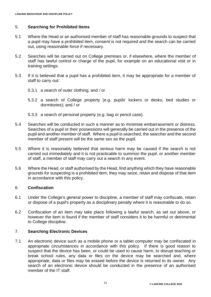#### 5. **Searching for Prohibited Items**

- 5.1 Where the Head or an authorised member of staff has reasonable grounds to suspect that a pupil may have a prohibited item, consent is not required and the search can be carried out, using reasonable force if necessary.
- 5.2 Searches will be carried out on College premises or, if elsewhere, where the member of staff has lawful control or charge of the pupil, for example on an educational visit or in training settings.
- 5.3 If it is believed that a pupil has a prohibited item, it may be appropriate for a member of staff to carry out:
	- 5.3.1 a search of outer clothing; and / or
	- 5.3.2 a search of College property (e.g. pupils' lockers or desks, bed studies or dormitories); and / or
	- 5.3.3 a search of personal property (e.g. bag or pencil case).
- 5.4 Searches will be conducted in such a manner as to minimise embarrassment or distress. Searches of a pupil or their possessions will generally be carried out in the presence of the pupil and another member of staff. Where a pupil is searched, the searcher and the second member of staff present will be the same sex as the pupil.
- 5.5 Where it is reasonably believed that serious harm may be caused if the search is not carried out immediately and it is not practicable to summon the pupil, or another member of staff, a member of staff may carry out a search in any event.
- 5.6 Where the Head, or staff authorised by the Head, find anything which they have reasonable grounds for suspecting is a prohibited item, they may seize, retain and dispose of that item in accordance with this policy.

#### 6. **Confiscation**

- 6.1 Under the College's general power to discipline, a member of staff may confiscate, retain or dispose of a pupil's property as a disciplinary penalty where it is reasonable to do so.
- 6.2 Confiscation of an item may take place following a lawful search, as set out above, or however the item is found if the member of staff considers it to be harmful or detrimental to College discipline.

#### 7. **Searching Electronic Devices**

7.1 An electronic device such as a mobile phone or a tablet computer may be confiscated in appropriate circumstances in accordance with this policy. If there is good reason to suspect that the device has been, or could be used to cause harm, to disrupt teaching or break school rules, any data or files on the device may be searched and, where appropriate, data or files may be erased before the device is returned to its owner. Any search of an electronic device should be conducted in the presence of an authorised member of the IT staff.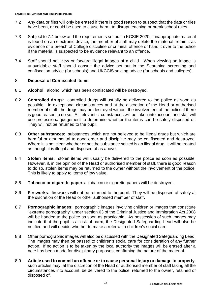- 7.2 Any data or files will only be erased if there is good reason to suspect that the data or files have been, or could be used to cause harm, to disrupt teaching or break school rules.
- 7.3 Subject to 7.4 below and the requirements set out in KCSIE 2020, if inappropriate material is found on an electronic device, the member of staff may delete the material, retain it as evidence of a breach of College discipline or criminal offence or hand it over to the police if the material is suspected to be evidence relevant to an offence.
- 7.4 Staff should not view or forward illegal images of a child. When viewing an image is unavoidable staff should consult the advice set out in the Searching screening and confiscation advice (for schools) and UKCCIS sexting advice (for schools and colleges).

## 8. **Disposal of Confiscated Items**

- 8.1 **Alcohol**: alcohol which has been confiscated will be destroyed.
- 8.2 **Controlled drugs**: controlled drugs will usually be delivered to the police as soon as possible. In exceptional circumstances and at the discretion of the Head or authorised member of staff, the drugs may be destroyed without the involvement of the police if there is good reason to do so. All relevant circumstances will be taken into account and staff will use professional judgement to determine whether the items can be safely disposed of. They will not be returned to the pupil.
- 8.3 **Other substances**: substances which are not believed to be illegal drugs but which are harmful or detrimental to good order and discipline may be confiscated and destroyed. Where it is not clear whether or not the substance seized is an illegal drug, it will be treated as though it is illegal and disposed of as above.
- 8.4 **Stolen items**: stolen items will usually be delivered to the police as soon as possible. However, if, in the opinion of the Head or authorised member of staff, there is good reason to do so, stolen items may be returned to the owner without the involvement of the police. This is likely to apply to items of low value.
- 8.5 **Tobacco or cigarette papers**: tobacco or cigarette papers will be destroyed.
- 8.6 **Fireworks**: fireworks will not be returned to the pupil. They will be disposed of safely at the discretion of the Head or other authorised member of staff.
- 8.7 **Pornographic images**: pornographic images involving children or images that constitute "extreme pornography" under section 63 of the Criminal Justice and Immigration Act 2008 will be handed to the police as soon as practicable. As possession of such images may indicate that the pupil is at risk of harm, the Designated Safeguarding Lead will also be notified and will decide whether to make a referral to children's social care.
- 8.8 Other pornographic images will also be discussed with the Designated Safeguarding Lead. The images may then be passed to children's social care for consideration of any further action. If no action is to be taken by the local authority the images will be erased after a note has been made for disciplinary purposes, confirming the nature of the material.
- 8.9 **Article used to commit an offence or to cause personal injury or damage to property**: such articles may, at the discretion of the Head or authorised member of staff taking all the circumstances into account, be delivered to the police, returned to the owner, retained or disposed of.